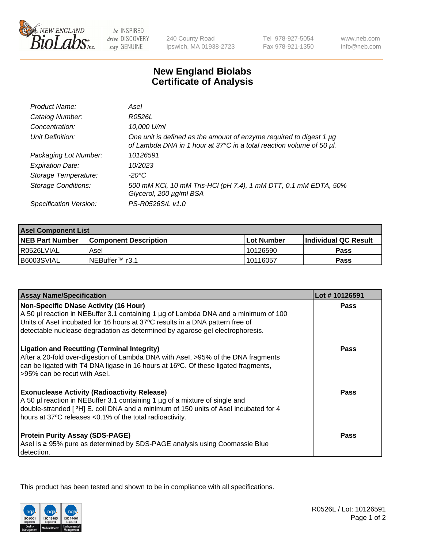

 $be$  INSPIRED drive DISCOVERY stay GENUINE

240 County Road Ipswich, MA 01938-2723 Tel 978-927-5054 Fax 978-921-1350

www.neb.com info@neb.com

## **New England Biolabs Certificate of Analysis**

| Product Name:              | Asel                                                                                                                                        |
|----------------------------|---------------------------------------------------------------------------------------------------------------------------------------------|
| Catalog Number:            | R0526L                                                                                                                                      |
| Concentration:             | 10,000 U/ml                                                                                                                                 |
| Unit Definition:           | One unit is defined as the amount of enzyme required to digest 1 µg<br>of Lambda DNA in 1 hour at 37°C in a total reaction volume of 50 µl. |
| Packaging Lot Number:      | 10126591                                                                                                                                    |
| <b>Expiration Date:</b>    | 10/2023                                                                                                                                     |
| Storage Temperature:       | $-20^{\circ}$ C                                                                                                                             |
| <b>Storage Conditions:</b> | 500 mM KCI, 10 mM Tris-HCI (pH 7.4), 1 mM DTT, 0.1 mM EDTA, 50%<br>Glycerol, 200 µg/ml BSA                                                  |
| Specification Version:     | PS-R0526S/L v1.0                                                                                                                            |

| <b>Asel Component List</b> |                              |              |                       |  |
|----------------------------|------------------------------|--------------|-----------------------|--|
| <b>NEB Part Number</b>     | <b>Component Description</b> | l Lot Number | ∣Individual QC Result |  |
| R0526LVIAL                 | Asel                         | 10126590     | Pass                  |  |
| B6003SVIAL                 | INEBuffer <sup>™</sup> r3.1  | 10116057     | Pass                  |  |

| <b>Assay Name/Specification</b>                                                                                                                                                                                                                                                                       | Lot #10126591 |
|-------------------------------------------------------------------------------------------------------------------------------------------------------------------------------------------------------------------------------------------------------------------------------------------------------|---------------|
| <b>Non-Specific DNase Activity (16 Hour)</b><br>A 50 µl reaction in NEBuffer 3.1 containing 1 µg of Lambda DNA and a minimum of 100<br>Units of Asel incubated for 16 hours at 37°C results in a DNA pattern free of<br>detectable nuclease degradation as determined by agarose gel electrophoresis. | Pass          |
| <b>Ligation and Recutting (Terminal Integrity)</b><br>After a 20-fold over-digestion of Lambda DNA with Asel, >95% of the DNA fragments<br>can be ligated with T4 DNA ligase in 16 hours at 16°C. Of these ligated fragments,<br>>95% can be recut with Asel.                                         | Pass          |
| <b>Exonuclease Activity (Radioactivity Release)</b><br>A 50 µl reaction in NEBuffer 3.1 containing 1 µg of a mixture of single and<br>double-stranded [3H] E. coli DNA and a minimum of 150 units of Asel incubated for 4<br>hours at 37°C releases <0.1% of the total radioactivity.                 | Pass          |
| <b>Protein Purity Assay (SDS-PAGE)</b><br>Asel is ≥ 95% pure as determined by SDS-PAGE analysis using Coomassie Blue<br>detection.                                                                                                                                                                    | <b>Pass</b>   |

This product has been tested and shown to be in compliance with all specifications.